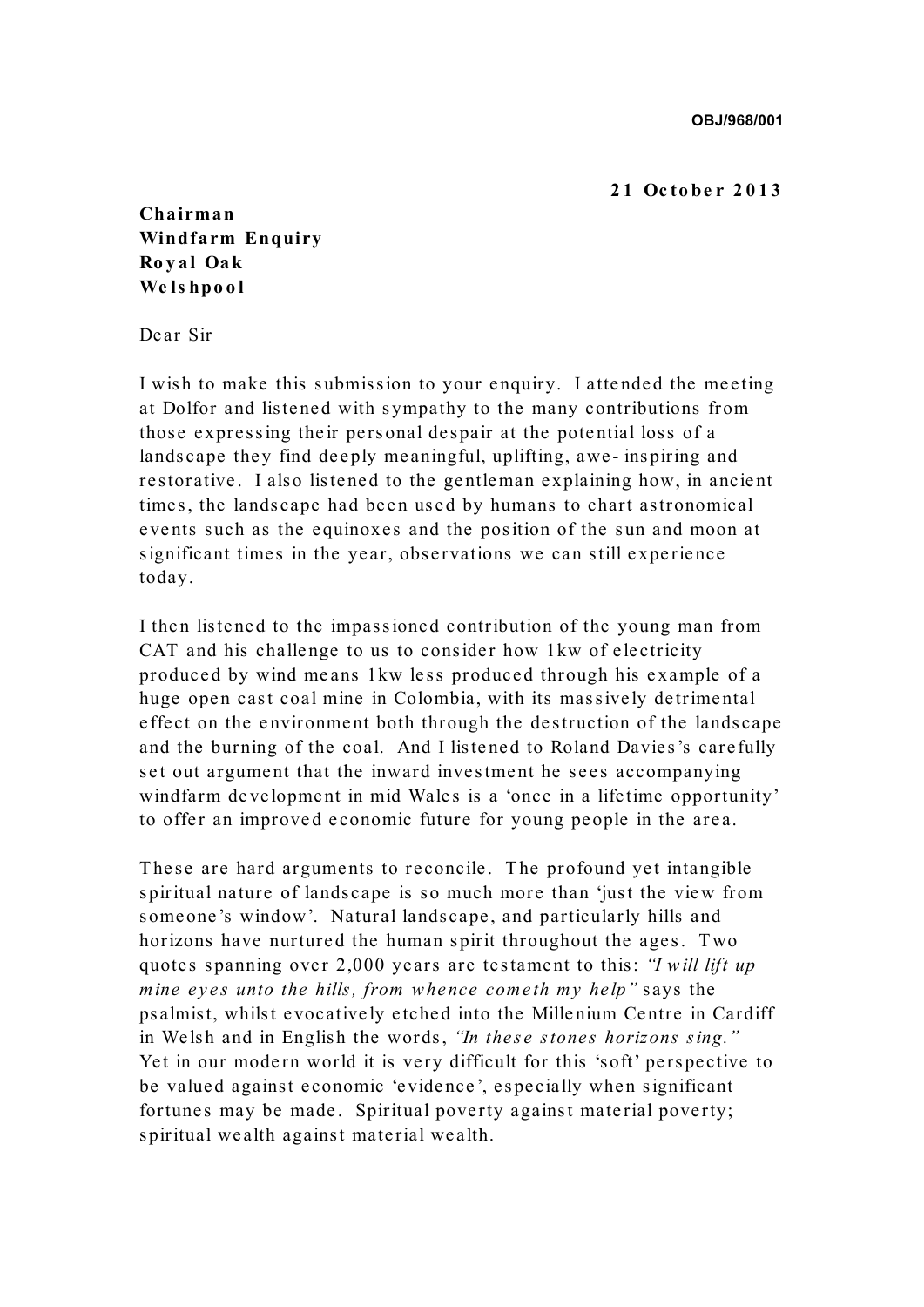**OBJ/968/001**

## **2 1 Oc tobe r 2 0 1 3**

**Chairman Windfarm Enquiry Ro y al Oak We ls hpo o l**

Dear Sir

I wish to make this submission to your enquiry. I attended the meeting at Dolfor and listened with sympathy to the many contributions from those expressing their personal despair at the potential loss of a landscape they find deeply meaningful, uplifting, awe- inspiring and re storative. I also listened to the gentleman explaining how, in ancient times, the landscape had been used by humans to chart astronomical events such as the equinoxes and the position of the sun and moon at significant times in the year, observations we can still experience today.

I then listened to the impassioned contribution of the young man from CAT and his challenge to us to consider how 1kw of electricity produced by wind means 1kw less produced through his example of a huge open cast coal mine in Colombia, with its massively detrimental effect on the environment both through the destruction of the landscape and the burning of the coal. And I listened to Roland Davies's carefully set out argument that the inward investment he sees accompanying windfarm development in mid Wales is a 'once in a lifetime opportunity' to offer an improved economic future for young people in the area.

These are hard arguments to reconcile. The profound yet intangible spiritual nature of landscape is so much more than 'just the view from some one 's window'. Natural landscape, and particularly hills and horizons have nurtured the human spirit throughout the ages. Two quotes spanning over 2,000 years are testament to this: *"I w ill lift up mine eyes unto the hills, from whence cometh my help*" says the ps almist, whilst evocatively etched into the Millenium Centre in Cardiff in Welsh and in English the words, "In these stones horizons sing." Yet in our modern world it is very difficult for this 'soft' perspective to be valued against economic 'evidence', especially when significant fortunes may be made. Spiritual poverty against material poverty; spiritual wealth against material wealth.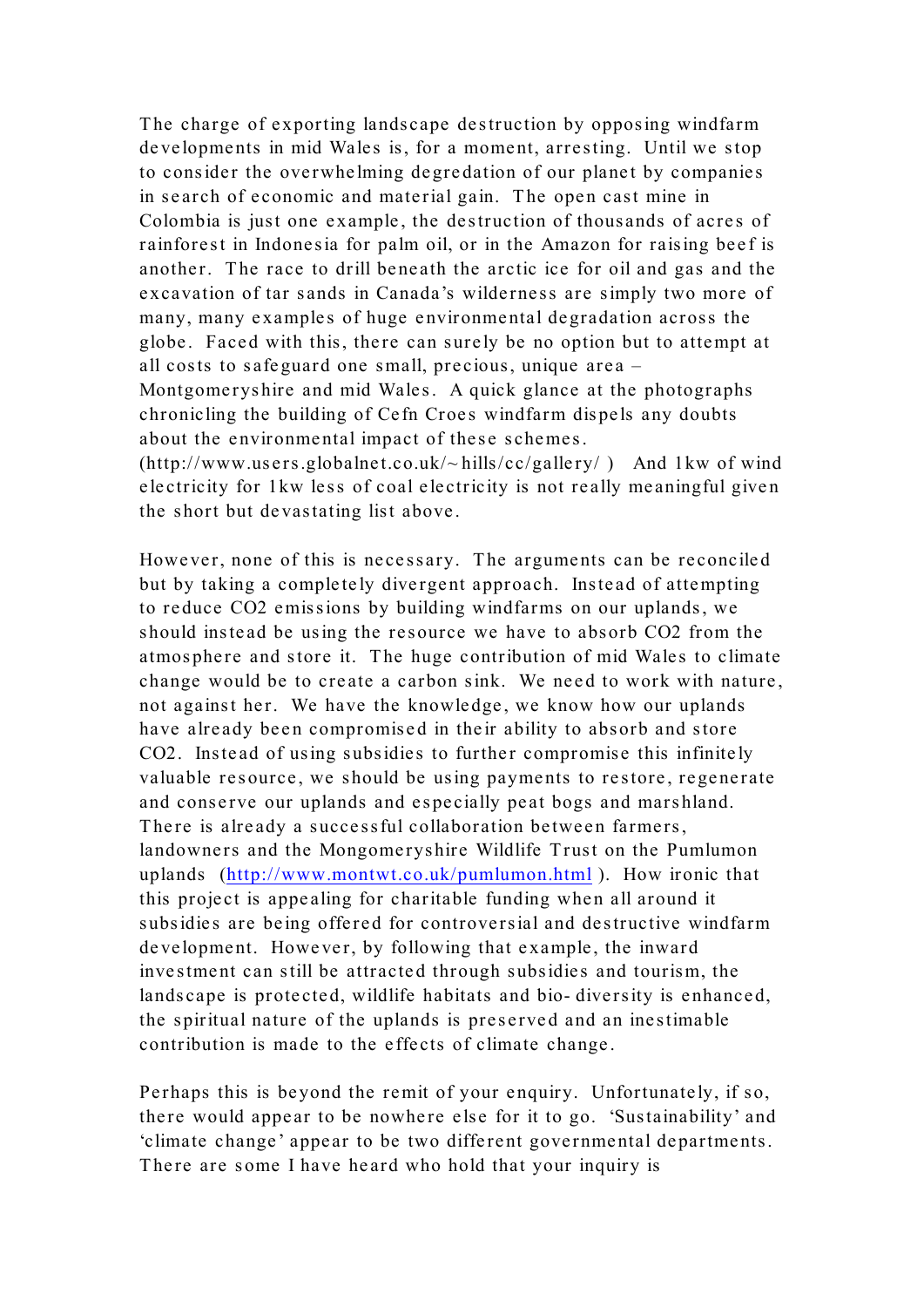The charge of exporting landscape destruction by opposing windfarm developments in mid Wales is, for a moment, arresting. Until we stop to consider the overwhelming degredation of our planet by companies in search of economic and material gain. The open cast mine in Colombia is just one example, the destruction of thousands of acres of rainforest in Indonesia for palm oil, or in the Amazon for raising beef is another. The race to drill beneath the arctic ice for oil and gas and the excavation of tar sands in Canada's wilderness are simply two more of many, many examples of huge environmental degradation across the globe. Faced with this, there can surely be no option but to attempt at all costs to safeguard one small, precious, unique area – Montgomeryshire and mid Wales. A quick glance at the photographs chronicling the building of Cefn Croes windfarm dispels any doubts about the environmental impact of these schemes.

 $(http://www.users.globalnet.co.uk/~hills/cc/gallery/)$  And 1kw of wind electricity for 1kw less of coal electricity is not really meaningful given the short but devastating list above.

However, none of this is necessary. The arguments can be reconciled but by taking a completely divergent approach. Instead of attempting to reduce CO2 emissions by building windfarms on our uplands, we should instead be using the resource we have to absorb CO2 from the atmosphere and store it. The huge contribution of mid Wales to climate change would be to create a carbon sink. We need to work with nature, not against her. We have the knowledge, we know how our uplands have already been compromised in their ability to absorb and store CO2. Instead of using subsidies to further compromise this infinitely valuable resource, we should be using payments to restore, regenerate and conserve our uplands and especially peat bogs and marshland. There is already a successful collaboration between farmers, landowners and the Mongomeryshire Wildlife Trust on the Pumlumon uplands (http://www.montwt.co.uk/pumlumon.html ). How ironic that this project is appealing for charitable funding when all around it subsidies are being offered for controversial and destructive windfarm development. However, by following that example, the inward investment can still be attracted through subsidies and tourism, the landscape is protected, wildlife habitats and bio- diversity is enhanced, the spiritual nature of the uplands is preserved and an inestimable contribution is made to the effects of climate change.

Perhaps this is beyond the remit of your enquiry. Unfortunately, if so, there would appear to be nowhere else for it to go. 'Sustainability' and 'climate change' appear to be two different governmental departments. There are some I have heard who hold that your inquiry is